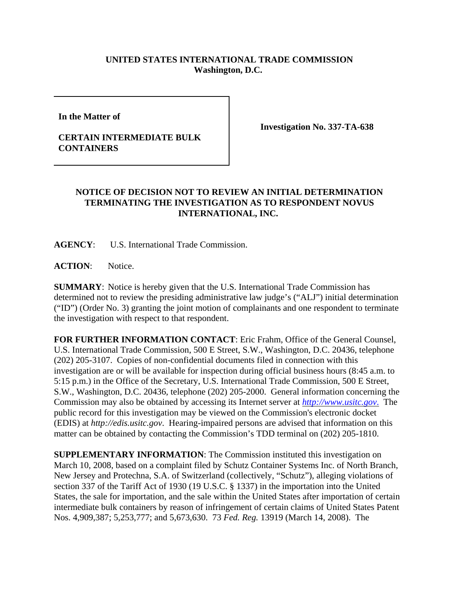## **UNITED STATES INTERNATIONAL TRADE COMMISSION Washington, D.C.**

**In the Matter of** 

## **CERTAIN INTERMEDIATE BULK CONTAINERS**

**Investigation No. 337-TA-638**

## **NOTICE OF DECISION NOT TO REVIEW AN INITIAL DETERMINATION TERMINATING THE INVESTIGATION AS TO RESPONDENT NOVUS INTERNATIONAL, INC.**

**AGENCY**: U.S. International Trade Commission.

ACTION: Notice.

**SUMMARY**: Notice is hereby given that the U.S. International Trade Commission has determined not to review the presiding administrative law judge's ("ALJ") initial determination ("ID") (Order No. 3) granting the joint motion of complainants and one respondent to terminate the investigation with respect to that respondent.

**FOR FURTHER INFORMATION CONTACT**: Eric Frahm, Office of the General Counsel, U.S. International Trade Commission, 500 E Street, S.W., Washington, D.C. 20436, telephone (202) 205-3107. Copies of non-confidential documents filed in connection with this investigation are or will be available for inspection during official business hours (8:45 a.m. to 5:15 p.m.) in the Office of the Secretary, U.S. International Trade Commission, 500 E Street, S.W., Washington, D.C. 20436, telephone (202) 205-2000. General information concerning the Commission may also be obtained by accessing its Internet server at *http://www.usitc.gov*. The public record for this investigation may be viewed on the Commission's electronic docket (EDIS) at *http://edis.usitc.gov*. Hearing-impaired persons are advised that information on this matter can be obtained by contacting the Commission's TDD terminal on (202) 205-1810.

**SUPPLEMENTARY INFORMATION**: The Commission instituted this investigation on March 10, 2008, based on a complaint filed by Schutz Container Systems Inc. of North Branch, New Jersey and Protechna, S.A. of Switzerland (collectively, "Schutz"), alleging violations of section 337 of the Tariff Act of 1930 (19 U.S.C. § 1337) in the importation into the United States, the sale for importation, and the sale within the United States after importation of certain intermediate bulk containers by reason of infringement of certain claims of United States Patent Nos. 4,909,387; 5,253,777; and 5,673,630. 73 *Fed. Reg.* 13919 (March 14, 2008). The